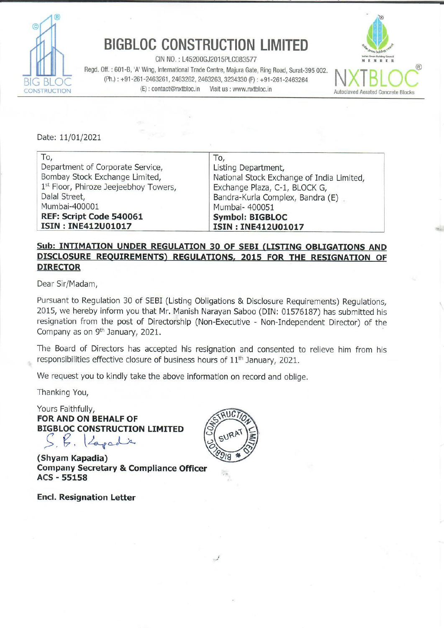

## BIGBLOC CONSTRUCTION LIMITED

CIN NO. : L45200GJ2015PLC083577 Regd. Off. : 601-B, 'A' Wing, International Trade Centre, Majura Gate, Ring Road, Surat-395 002. BIG BLOC (Ph.) : +91-261-2463261, 2463262, 2463263, 3234330 (F) : +91-261-2463264 ENCERCITION (E): contact@nxtbloc.in Visit us : www.nxtbloc.in **BIGBLOC CONSTR**<br>
CIN NO.: L45200GJ<br>
Regd. Off. : 601-B, 'A' Wing, International Trade C<br>
(Ph.): +91-261-2463261, 2463262, 2463<br>
ISTRUCTION<br>
Date: 11/01/2021



| <b>BIGBLOC CONSTRUCTION LIMITED</b><br>CIN NO.: L45200GJ2015PLC083577<br>Regd. Off.: 601-B, 'A' Wing, International Trade Centre, Majura Gate, Ring Road, Surat-395 002.<br>(Ph.): +91-261-2463261, 2463262, 2463263, 3234330 (F): +91-261-2463264<br>(E): contact@nxtbloc.in<br>Visit us : www.nxtbloc.in<br><b>ISTRUCTION</b><br><b>Autoclaved Aerated C</b> |                                                                                                                                                                                                                       |
|----------------------------------------------------------------------------------------------------------------------------------------------------------------------------------------------------------------------------------------------------------------------------------------------------------------------------------------------------------------|-----------------------------------------------------------------------------------------------------------------------------------------------------------------------------------------------------------------------|
| Date: 11/01/2021                                                                                                                                                                                                                                                                                                                                               |                                                                                                                                                                                                                       |
| To,<br>Department of Corporate Service,<br>Bombay Stock Exchange Limited,<br>1st Floor, Phiroze Jeejeebhoy Towers,<br>Dalal Street,<br>Mumbai-400001<br>REF: Script Code 540061<br><b>ISIN: INE412U01017</b>                                                                                                                                                   | To,<br>Listing Department,<br>National Stock Exchange of India Limited,<br>Exchange Plaza, C-1, BLOCK G,<br>Bandra-Kurla Complex, Bandra (E)<br>Mumbai- 400051<br><b>Symbol: BIGBLOC</b><br><b>ISIN: INE412U01017</b> |

## Sub: INTIMATION UNDER REGULATION 30 OF SEBI (LISTING OBLIGATIONS AND DISCLOSURE REQUIREMENTS) REGULATIONS, 2015 FOR THE RESIGNATION OF DIRECTOR

Dear Sir/Madam,

Pursuant to Regulation 30 of SEBI (Listing Obligations & Disclosure Requirements) Regulations, 2015, we hereby inform you that Mr. Manish Narayan Saboo (DIN: 01576187) has submitted his resignation from the post of Directorship (Non-Executive - Non-Independent Director) of the Company as on 9<sup>th</sup> January, 2021.

The Board of Directors has accepted his resignation and consented to relieve him from his responsibilities effective closure of business hours of 11<sup>th</sup> January, 2021.

We request you to kindly take the above information on record and oblige.

Thanking You,

Yours Faithfully, FOR AND ON BEHALF OF BIGBLOC CONSTRUCTION LIMITED [Zagade

(Shyam Kapadia) Company Secretary & Compliance Officer ACS - 55158

Encl. Resignation Letter